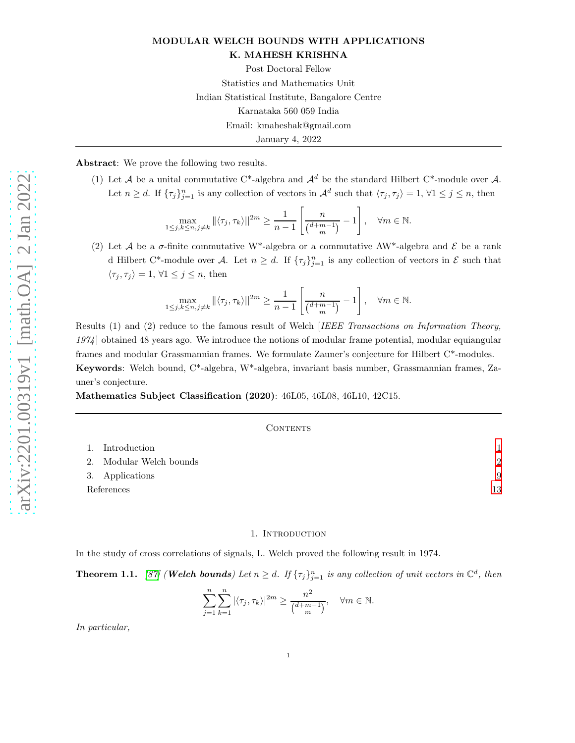# MODULAR WELCH BOUNDS WITH APPLICATIONS K. MAHESH KRISHNA

Post Doctoral Fellow Statistics and Mathematics Unit Indian Statistical Institute, Bangalore Centre Karnataka 560 059 India Email: kmaheshak@gmail.com January 4, 2022

Abstract: We prove the following two results.

(1) Let A be a unital commutative C\*-algebra and  $\mathcal{A}^d$  be the standard Hilbert C\*-module over A. Let  $n \geq d$ . If  $\{\tau_j\}_{j=1}^n$  is any collection of vectors in  $\mathcal{A}^d$  such that  $\langle \tau_j, \tau_j \rangle = 1, \forall 1 \leq j \leq n$ , then

$$
\max_{1 \le j,k \le n,j \ne k} ||\langle \tau_j, \tau_k \rangle||^{2m} \ge \frac{1}{n-1} \left[ \frac{n}{\binom{d+m-1}{m}} - 1 \right], \quad \forall m \in \mathbb{N}.
$$

(2) Let A be a  $\sigma$ -finite commutative W<sup>\*</sup>-algebra or a commutative AW<sup>\*</sup>-algebra and E be a rank d Hilbert C<sup>\*</sup>-module over A. Let  $n \geq d$ . If  $\{\tau_j\}_{j=1}^n$  is any collection of vectors in  $\mathcal E$  such that  $\langle \tau_j, \tau_j \rangle = 1, \forall 1 \leq j \leq n$ , then

$$
\max_{1 \le j,k \le n,j \ne k} ||\langle \tau_j, \tau_k \rangle||^{2m} \ge \frac{1}{n-1} \left[ \frac{n}{\binom{d+m-1}{m}} - 1 \right], \quad \forall m \in \mathbb{N}.
$$

Results (1) and (2) reduce to the famous result of Welch *IEEE Transactions on Information Theory*, 1974] obtained 48 years ago. We introduce the notions of modular frame potential, modular equiangular frames and modular Grassmannian frames. We formulate Zauner's conjecture for Hilbert C\*-modules. Keywords: Welch bound, C\*-algebra, W\*-algebra, invariant basis number, Grassmannian frames, Zauner's conjecture.

Mathematics Subject Classification (2020): 46L05, 46L08, 46L10, 42C15.

#### CONTENTS

|            | 1. Introduction         |    |
|------------|-------------------------|----|
|            | 2. Modular Welch bounds | 2  |
|            | 3. Applications         | 9  |
| References |                         | 13 |

#### 1. Introduction

<span id="page-0-0"></span>In the study of cross correlations of signals, L. Welch proved the following result in 1974.

<span id="page-0-1"></span>**Theorem 1.1.** [\[87\]](#page-15-0) (**Welch bounds**) Let  $n \geq d$ . If  $\{\tau_j\}_{j=1}^n$  is any collection of unit vectors in  $\mathbb{C}^d$ , then

$$
\sum_{j=1}^{n} \sum_{k=1}^{n} |\langle \tau_j, \tau_k \rangle|^{2m} \ge \frac{n^2}{\binom{d+m-1}{m}}, \quad \forall m \in \mathbb{N}.
$$

In particular,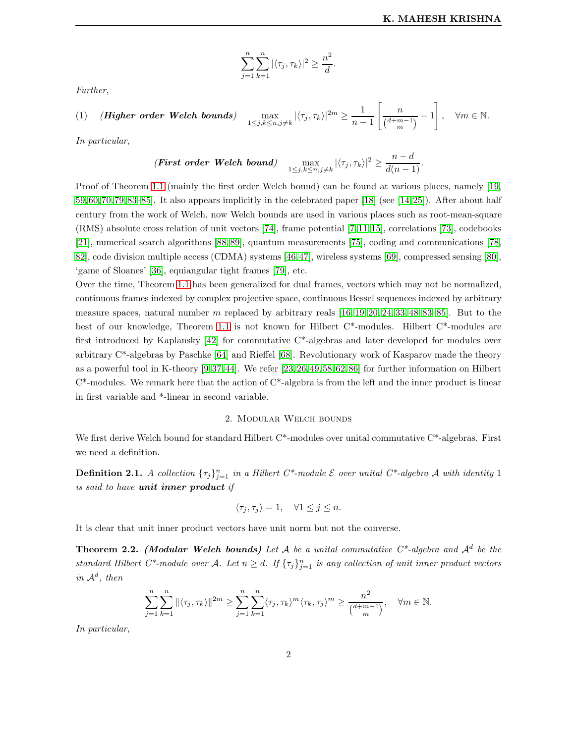$$
\sum_{j=1}^{n} \sum_{k=1}^{n} |\langle \tau_j, \tau_k \rangle|^2 \ge \frac{n^2}{d}
$$

.

Further,

$$
(1) \quad (\textit{Higher order Welch bounds}) \quad \max_{1 \leq j,k \leq n, j \neq k} |\langle \tau_j, \tau_k \rangle|^{2m} \geq \frac{1}{n-1} \left[ \frac{n}{\binom{d+m-1}{m}} - 1 \right], \quad \forall m \in \mathbb{N}.
$$

In particular,

(First order Welch bound) 
$$
\max_{1 \leq j,k \leq n, j \neq k} |\langle \tau_j, \tau_k \rangle|^2 \geq \frac{n-d}{d(n-1)}.
$$

Proof of Theorem [1.1](#page-0-1) (mainly the first order Welch bound) can be found at various places, namely [\[19,](#page-13-0) [59,](#page-14-0) [60,](#page-14-1) [70,](#page-15-1) [79,](#page-15-2) [83–](#page-15-3)[85\]](#page-15-4). It also appears implicitly in the celebrated paper [\[18\]](#page-13-1) (see [\[14,](#page-13-2) [25\]](#page-13-3)). After about half century from the work of Welch, now Welch bounds are used in various places such as root-mean-square (RMS) absolute cross relation of unit vectors [\[74\]](#page-15-5), frame potential [\[7,](#page-13-4) [11,](#page-13-5) [15\]](#page-13-6), correlations [\[73\]](#page-15-6), codebooks [\[21\]](#page-13-7), numerical search algorithms [\[88,](#page-15-7) [89\]](#page-15-8), quantum measurements [\[75\]](#page-15-9), coding and communications [\[78,](#page-15-10) [82\]](#page-15-11), code division multiple access (CDMA) systems [\[46,](#page-14-2)[47\]](#page-14-3), wireless systems [\[69\]](#page-15-12), compressed sensing [\[80\]](#page-15-13), 'game of Sloanes' [\[36\]](#page-14-4), equiangular tight frames [\[79\]](#page-15-2), etc.

Over the time, Theorem [1.1](#page-0-1) has been generalized for dual frames, vectors which may not be normalized, continuous frames indexed by complex projective space, continuous Bessel sequences indexed by arbitrary measure spaces, natural number m replaced by arbitrary reals  $[16, 19, 20, 24, 33, 48, 83–85]$  $[16, 19, 20, 24, 33, 48, 83–85]$  $[16, 19, 20, 24, 33, 48, 83–85]$  $[16, 19, 20, 24, 33, 48, 83–85]$  $[16, 19, 20, 24, 33, 48, 83–85]$  $[16, 19, 20, 24, 33, 48, 83–85]$  $[16, 19, 20, 24, 33, 48, 83–85]$  $[16, 19, 20, 24, 33, 48, 83–85]$ . But to the best of our knowledge, Theorem [1.1](#page-0-1) is not known for Hilbert C\*-modules. Hilbert C\*-modules are first introduced by Kaplansky [\[42\]](#page-14-7) for commutative C\*-algebras and later developed for modules over arbitrary C\*-algebras by Paschke [\[64\]](#page-15-14) and Rieffel [\[68\]](#page-15-15). Revolutionary work of Kasparov made the theory as a powerful tool in K-theory [\[9,](#page-13-11) [37,](#page-14-8) [44\]](#page-14-9). We refer [\[23,](#page-13-12) [26,](#page-13-13) [49,](#page-14-10) [58,](#page-14-11)[62,](#page-14-12) [86\]](#page-15-16) for further information on Hilbert  $C^*$ -modules. We remark here that the action of  $C^*$ -algebra is from the left and the inner product is linear in first variable and \*-linear in second variable.

# 2. Modular Welch bounds

<span id="page-1-0"></span>We first derive Welch bound for standard Hilbert C<sup>\*</sup>-modules over unital commutative C<sup>\*</sup>-algebras. First we need a definition.

**Definition 2.1.** A collection  $\{\tau_j\}_{j=1}^n$  in a Hilbert C\*-module  $\mathcal E$  over unital C\*-algebra A with identity 1 is said to have unit inner product if

$$
\langle \tau_j, \tau_j \rangle = 1, \quad \forall 1 \le j \le n.
$$

It is clear that unit inner product vectors have unit norm but not the converse.

<span id="page-1-1"></span>**Theorem 2.2.** (Modular Welch bounds) Let A be a unital commutative  $C^*$ -algebra and  $\mathcal{A}^d$  be the standard Hilbert C<sup>\*</sup>-module over A. Let  $n \geq d$ . If  $\{\tau_j\}_{j=1}^n$  is any collection of unit inner product vectors in  $\mathcal{A}^d$ , then

$$
\sum_{j=1}^n \sum_{k=1}^n ||\langle \tau_j, \tau_k \rangle||^{2m} \ge \sum_{j=1}^n \sum_{k=1}^n \langle \tau_j, \tau_k \rangle^m \langle \tau_k, \tau_j \rangle^m \ge \frac{n^2}{\binom{d+m-1}{m}}, \quad \forall m \in \mathbb{N}.
$$

In particular,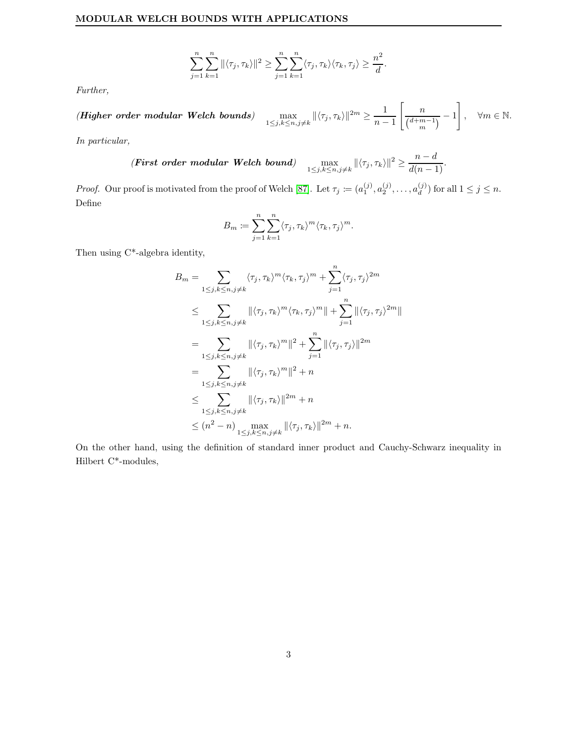$$
\sum_{j=1}^n \sum_{k=1}^n ||\langle \tau_j, \tau_k \rangle||^2 \ge \sum_{j=1}^n \sum_{k=1}^n \langle \tau_j, \tau_k \rangle \langle \tau_k, \tau_j \rangle \ge \frac{n^2}{d}.
$$

Further,

(Higher order modular Welch bounds) 
$$
\max_{1 \leq j,k \leq n, j \neq k} ||\langle \tau_j, \tau_k \rangle||^{2m} \geq \frac{1}{n-1} \left[ \frac{n}{\binom{d+m-1}{m}} - 1 \right], \quad \forall m \in \mathbb{N}.
$$

In particular,

(First order modular Welch bound) 
$$
\max_{1 \leq j,k \leq n, j \neq k} ||\langle \tau_j, \tau_k \rangle||^2 \geq \frac{n-d}{d(n-1)}.
$$

*Proof.* Our proof is motivated from the proof of Welch [\[87\]](#page-15-0). Let  $\tau_j := (a_1^{(j)}, a_2^{(j)}, \ldots, a_d^{(j)})$  for all  $1 \le j \le n$ . Define

$$
B_m := \sum_{j=1}^n \sum_{k=1}^n \langle \tau_j, \tau_k \rangle^m \langle \tau_k, \tau_j \rangle^m.
$$

Then using C\*-algebra identity,

$$
B_m = \sum_{1 \le j,k \le n,j \ne k} \langle \tau_j, \tau_k \rangle^m \langle \tau_k, \tau_j \rangle^m + \sum_{j=1}^n \langle \tau_j, \tau_j \rangle^{2m}
$$
  
\n
$$
\le \sum_{1 \le j,k \le n,j \ne k} \| \langle \tau_j, \tau_k \rangle^m \langle \tau_k, \tau_j \rangle^m \| + \sum_{j=1}^n \| \langle \tau_j, \tau_j \rangle^{2m} \|
$$
  
\n
$$
= \sum_{1 \le j,k \le n,j \ne k} \| \langle \tau_j, \tau_k \rangle^m \|^2 + \sum_{j=1}^n \| \langle \tau_j, \tau_j \rangle \|^2 m
$$
  
\n
$$
= \sum_{1 \le j,k \le n,j \ne k} \| \langle \tau_j, \tau_k \rangle^m \|^2 + n
$$
  
\n
$$
\le \sum_{1 \le j,k \le n,j \ne k} \| \langle \tau_j, \tau_k \rangle \|^2 m + n
$$
  
\n
$$
\le (n^2 - n) \max_{1 \le j,k \le n,j \ne k} \| \langle \tau_j, \tau_k \rangle \|^2 m + n.
$$

On the other hand, using the definition of standard inner product and Cauchy-Schwarz inequality in Hilbert C\*-modules,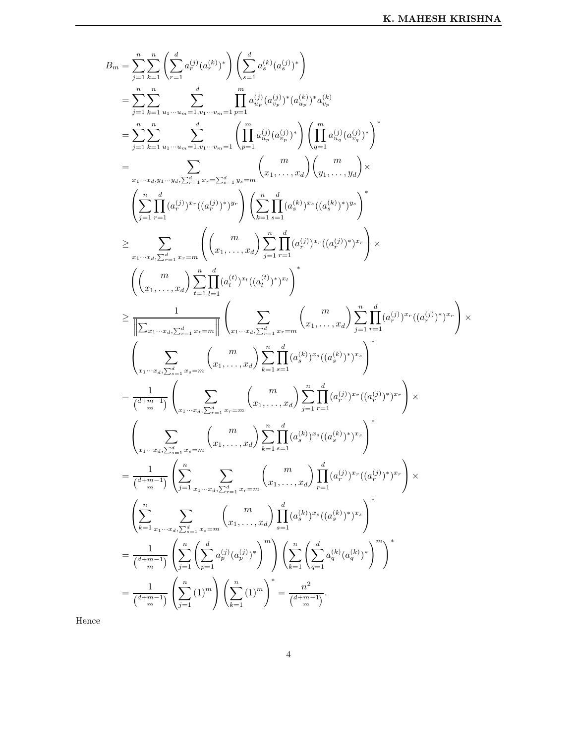$$
\begin{split} B_{m}&=\sum_{j=1}^{n}\sum_{k=1}^{n}\left(\sum_{r=1}^{d}a_{r}^{(j)}(a_{r}^{(k)})^{*}\right)\left(\sum_{s=1}^{d}a_{s}^{(k)}(a_{s}^{(j)})^{*}\right)\\ &=\sum_{j=1}^{n}\sum_{k=1}^{n} \sum_{u_{1}\cdots u_{m}}^{d}\prod_{s=1, v_{1}\cdots v_{m}}^{d}a_{u_{r}}^{(j)}(a_{u_{r}}^{(j)})^{*}(a_{u_{r}}^{(k)})^{*}a_{v_{r}}^{(k)}\\ &=\sum_{j=1}^{n}\sum_{k=1}^{n} \sum_{u_{1}\cdots u_{m}}^{d}\prod_{s=1, v_{1}\cdots v_{m}}^{d}\left(\prod_{p=1}^{m}a_{u_{p}}^{(j)}(a_{v_{p}}^{(j)})^{*}\right)\left(\prod_{q=1}^{m}a_{u_{q}}^{(j)}(a_{v_{q}}^{(j)})^{*}\right)^{*}\\ &=\sum_{u_{1}\cdots u_{s}, v_{1}\cdots v_{s}, \sum_{r=1}^{d} x_{r}=\sum_{s=1}^{d} y_{r}=\text{Im}\left(x_{1}, \ldots, x_{d}\right)\left(y_{1}, \ldots, y_{d}\right)\times\\ &\left(\sum_{j=1}^{n}\prod_{r=1}^{d}(a_{r}^{(j)})^{x_{r}}((a_{r}^{(j)})^{*})^{y_{r}}\right)\left(\sum_{k=1}^{n}\prod_{s=1}^{d}(a_{s}^{(k)})^{x_{r}}((a_{s}^{(k)})^{*})^{y_{s}}\right)^{*}\\ &\geq \sum_{u_{1}\cdots u_{s}, \sum_{r=1}^{d} x_{r}=m}\left(\left(x_{1}, \ldots, x_{d}\right) \sum_{j=1}^{n}\prod_{r=1}^{d}(a_{r}^{(j)})^{x_{r}}((a_{r}^{(j)})^{*})^{x_{r}}\right)\times\\ &\left(\left(x_{1}, \ldots, x_{d}\right) \sum_{l=1}^{n}\prod_{l=1}^{d}(a_{l}^{(j)})^{x_{l}}((a_{l}^{(l)})^{*})^{x_{l}}\right)^{*}\\ &\geq \frac{1}{\left\|\sum_{x_{1}\cdots x_{d}, \sum_{r=1}^{d} x_{r}=m}\left(\sum_{x_{1}, \ldots, x_{
$$

Hence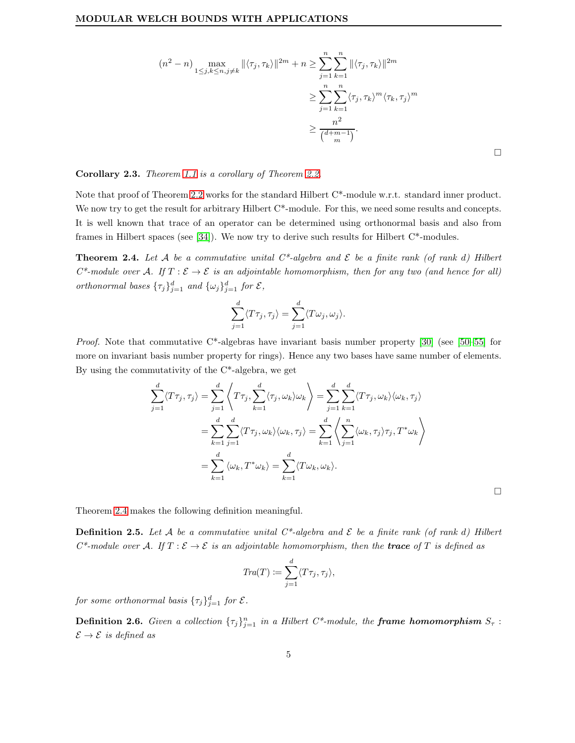$$
(n2 - n) \max_{1 \le j,k \le n,j \ne k} ||\langle \tau_j, \tau_k \rangle||^{2m} + n \ge \sum_{j=1}^n \sum_{k=1}^n ||\langle \tau_j, \tau_k \rangle||^{2m}
$$
  

$$
\ge \sum_{j=1}^n \sum_{k=1}^n \langle \tau_j, \tau_k \rangle^m \langle \tau_k, \tau_j \rangle^m
$$
  

$$
\ge \frac{n^2}{\binom{d+m-1}{m}}.
$$

 $\Box$ 

 $\Box$ 

#### Corollary 2.3. Theorem [1.1](#page-0-1) is a corollary of Theorem [2.2.](#page-1-1)

Note that proof of Theorem [2.2](#page-1-1) works for the standard Hilbert C\*-module w.r.t. standard inner product. We now try to get the result for arbitrary Hilbert C<sup>\*</sup>-module. For this, we need some results and concepts. It is well known that trace of an operator can be determined using orthonormal basis and also from frames in Hilbert spaces (see [\[34\]](#page-14-13)). We now try to derive such results for Hilbert  $C^*$ -modules.

<span id="page-4-0"></span>**Theorem 2.4.** Let A be a commutative unital  $C^*$ -algebra and  $\mathcal E$  be a finite rank (of rank d) Hilbert  $C^*$ -module over A. If  $T : \mathcal{E} \to \mathcal{E}$  is an adjointable homomorphism, then for any two (and hence for all) orthonormal bases  $\{\tau_j\}_{j=1}^d$  and  $\{\omega_j\}_{j=1}^d$  for  $\mathcal{E}$ ,

$$
\sum_{j=1}^d \langle T\tau_j, \tau_j \rangle = \sum_{j=1}^d \langle T\omega_j, \omega_j \rangle.
$$

Proof. Note that commutative C\*-algebras have invariant basis number property [\[30\]](#page-13-14) (see [\[50](#page-14-14)[–55\]](#page-14-15) for more on invariant basis number property for rings). Hence any two bases have same number of elements. By using the commutativity of the C\*-algebra, we get

$$
\sum_{j=1}^{d} \langle T\tau_j, \tau_j \rangle = \sum_{j=1}^{d} \left\langle T\tau_j, \sum_{k=1}^{d} \langle \tau_j, \omega_k \rangle \omega_k \right\rangle = \sum_{j=1}^{d} \sum_{k=1}^{d} \langle T\tau_j, \omega_k \rangle \langle \omega_k, \tau_j \rangle
$$

$$
= \sum_{k=1}^{d} \sum_{j=1}^{d} \langle T\tau_j, \omega_k \rangle \langle \omega_k, \tau_j \rangle = \sum_{k=1}^{d} \left\langle \sum_{j=1}^{n} \langle \omega_k, \tau_j \rangle \tau_j, T^* \omega_k \right\rangle
$$

$$
= \sum_{k=1}^{d} \langle \omega_k, T^* \omega_k \rangle = \sum_{k=1}^{d} \langle T \omega_k, \omega_k \rangle.
$$

Theorem [2.4](#page-4-0) makes the following definition meaningful.

**Definition 2.5.** Let A be a commutative unital  $C^*$ -algebra and  $\mathcal E$  be a finite rank (of rank d) Hilbert  $C^*$ -module over A. If  $T : \mathcal{E} \to \mathcal{E}$  is an adjointable homomorphism, then the **trace** of T is defined as

$$
Tra(T) \coloneqq \sum_{j=1}^d \langle T\tau_j, \tau_j \rangle,
$$

for some orthonormal basis  $\{\tau_j\}_{j=1}^d$  for  $\mathcal{E}.$ 

**Definition 2.6.** Given a collection  $\{\tau_j\}_{j=1}^n$  in a Hilbert C\*-module, the **frame homomorphism**  $S_{\tau}$ :  $\mathcal{E} \to \mathcal{E}$  is defined as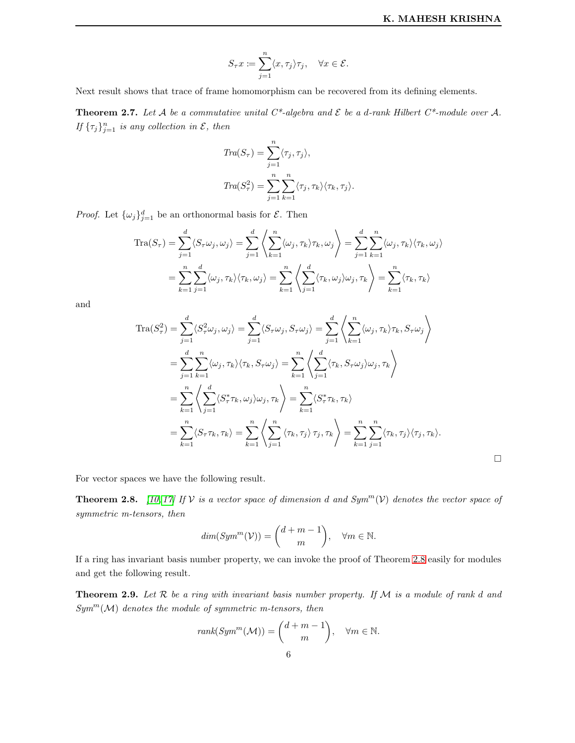$\Box$ 

$$
S_{\tau}x \coloneqq \sum_{j=1}^n \langle x, \tau_j \rangle \tau_j, \quad \forall x \in \mathcal{E}.
$$

Next result shows that trace of frame homomorphism can be recovered from its defining elements.

<span id="page-5-1"></span>**Theorem 2.7.** Let A be a commutative unital  $C^*$ -algebra and  $\mathcal E$  be a d-rank Hilbert  $C^*$ -module over A. If  $\{\tau_j\}_{j=1}^n$  is any collection in  $\mathcal{E}$ , then

$$
Tra(S_{\tau}) = \sum_{j=1}^{n} \langle \tau_j, \tau_j \rangle,
$$
  
\n
$$
Tra(S_{\tau}^2) = \sum_{j=1}^{n} \sum_{k=1}^{n} \langle \tau_j, \tau_k \rangle \langle \tau_k, \tau_j \rangle.
$$

*Proof.* Let  $\{\omega_j\}_{j=1}^d$  be an orthonormal basis for  $\mathcal{E}$ . Then

$$
\operatorname{Tra}(S_{\tau}) = \sum_{j=1}^{d} \langle S_{\tau} \omega_j, \omega_j \rangle = \sum_{j=1}^{d} \left\langle \sum_{k=1}^{n} \langle \omega_j, \tau_k \rangle \tau_k, \omega_j \right\rangle = \sum_{j=1}^{d} \sum_{k=1}^{n} \langle \omega_j, \tau_k \rangle \langle \tau_k, \omega_j \rangle
$$

$$
= \sum_{k=1}^{n} \sum_{j=1}^{d} \langle \omega_j, \tau_k \rangle \langle \tau_k, \omega_j \rangle = \sum_{k=1}^{n} \left\langle \sum_{j=1}^{d} \langle \tau_k, \omega_j \rangle \omega_j, \tau_k \right\rangle = \sum_{k=1}^{n} \langle \tau_k, \tau_k \rangle
$$

and

$$
\operatorname{Tra}(S_{\tau}^{2}) = \sum_{j=1}^{d} \langle S_{\tau}^{2} \omega_{j}, \omega_{j} \rangle = \sum_{j=1}^{d} \langle S_{\tau} \omega_{j}, S_{\tau} \omega_{j} \rangle = \sum_{j=1}^{d} \left\langle \sum_{k=1}^{n} \langle \omega_{j}, \tau_{k} \rangle \tau_{k}, S_{\tau} \omega_{j} \right\rangle
$$
  
\n
$$
= \sum_{j=1}^{d} \sum_{k=1}^{n} \langle \omega_{j}, \tau_{k} \rangle \langle \tau_{k}, S_{\tau} \omega_{j} \rangle = \sum_{k=1}^{n} \left\langle \sum_{j=1}^{d} \langle \tau_{k}, S_{\tau} \omega_{j} \rangle \omega_{j}, \tau_{k} \right\rangle
$$
  
\n
$$
= \sum_{k=1}^{n} \left\langle \sum_{j=1}^{d} \langle S_{\tau}^{*} \tau_{k}, \omega_{j} \rangle \omega_{j}, \tau_{k} \right\rangle = \sum_{k=1}^{n} \langle S_{\tau}^{*} \tau_{k}, \tau_{k} \rangle
$$
  
\n
$$
= \sum_{k=1}^{n} \langle S_{\tau} \tau_{k}, \tau_{k} \rangle = \sum_{k=1}^{n} \left\langle \sum_{j=1}^{n} \langle \tau_{k}, \tau_{j} \rangle \tau_{j}, \tau_{k} \right\rangle = \sum_{k=1}^{n} \sum_{j=1}^{n} \langle \tau_{k}, \tau_{j} \rangle \langle \tau_{j}, \tau_{k} \rangle.
$$

For vector spaces we have the following result.

<span id="page-5-0"></span>**Theorem 2.8.** [\[10,](#page-13-15) [17\]](#page-13-16) If V is a vector space of dimension d and  $Sym^m(V)$  denotes the vector space of symmetric m-tensors, then

$$
dim(Symm(\mathcal{V})) = \binom{d+m-1}{m}, \quad \forall m \in \mathbb{N}.
$$

If a ring has invariant basis number property, we can invoke the proof of Theorem [2.8](#page-5-0) easily for modules and get the following result.

<span id="page-5-2"></span>**Theorem 2.9.** Let  $R$  be a ring with invariant basis number property. If  $M$  is a module of rank d and  $Sym<sup>m</sup>(M)$  denotes the module of symmetric m-tensors, then

rank
$$
(Sym^m(M)) = {d+m-1 \choose m}
$$
,  $\forall m \in \mathbb{N}$ .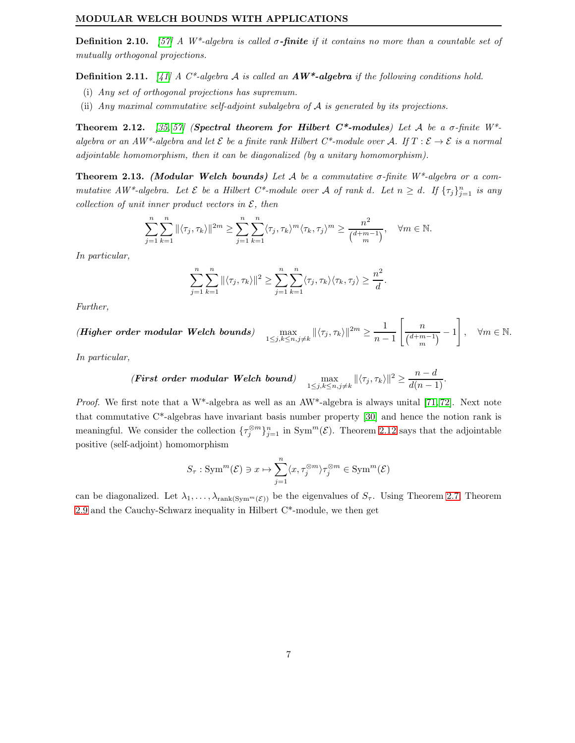**Definition 2.10.** [\[57\]](#page-14-16) A  $W^*$ -algebra is called  $\sigma$ -finite if it contains no more than a countable set of mutually orthogonal projections.

**Definition 2.11.** [\[41\]](#page-14-17) A C\*-algebra A is called an  $AW^*$ -algebra if the following conditions hold.

- (i) Any set of orthogonal projections has supremum.
- (ii) Any maximal commutative self-adjoint subalgebra of A is generated by its projections.

<span id="page-6-0"></span>Theorem 2.12. [\[35,](#page-14-18) [57\]](#page-14-16) (Spectral theorem for Hilbert C\*-modules) Let A be a  $\sigma$ -finite W\*algebra or an AW\*-algebra and let  $\mathcal E$  be a finite rank Hilbert C\*-module over A. If  $T : \mathcal E \to \mathcal E$  is a normal adjointable homomorphism, then it can be diagonalized (by a unitary homomorphism).

<span id="page-6-1"></span>**Theorem 2.13.** (Modular Welch bounds) Let A be a commutative  $\sigma$ -finite W<sup>\*</sup>-algebra or a commutative  $AW^*$ -algebra. Let  $\mathcal E$  be a Hilbert  $C^*$ -module over  $\mathcal A$  of rank d. Let  $n \geq d$ . If  $\{\tau_j\}_{j=1}^n$  is any collection of unit inner product vectors in  $\mathcal{E}$ , then

$$
\sum_{j=1}^n \sum_{k=1}^n \| \langle \tau_j, \tau_k \rangle \|^2 m \ge \sum_{j=1}^n \sum_{k=1}^n \langle \tau_j, \tau_k \rangle^m \langle \tau_k, \tau_j \rangle^m \ge \frac{n^2}{\binom{d+m-1}{m}}, \quad \forall m \in \mathbb{N}.
$$

In particular,

$$
\sum_{j=1}^n \sum_{k=1}^n \| \langle \tau_j, \tau_k \rangle \|^2 \ge \sum_{j=1}^n \sum_{k=1}^n \langle \tau_j, \tau_k \rangle \langle \tau_k, \tau_j \rangle \ge \frac{n^2}{d}.
$$

Further,

 $(Higher order modular Welch bounds)$  $\max_{1 \leq j,k \leq n, j \neq k} \| \langle \tau_j, \tau_k \rangle \|^2m \geq \frac{1}{n-1}$  $n-1$  $\lceil$  n  $\frac{n}{\binom{d+m-1}{m}}-1$  $\Big\}, \quad \forall m \in \mathbb{N}.$ 

In particular,

(First order modular Welch bound) 
$$
\max_{1 \leq j,k \leq n, j \neq k} ||\langle \tau_j, \tau_k \rangle||^2 \geq \frac{n-d}{d(n-1)}.
$$

*Proof.* We first note that a W<sup>\*</sup>-algebra as well as an  $AW^*$ -algebra is always unital [\[71,](#page-15-17) [72\]](#page-15-18). Next note that commutative  $C^*$ -algebras have invariant basis number property [\[30\]](#page-13-14) and hence the notion rank is meaningful. We consider the collection  $\{\tau_j^{\otimes m}\}_{j=1}^n$  in  $\text{Sym}^m(\mathcal{E})$ . Theorem [2.12](#page-6-0) says that the adjointable positive (self-adjoint) homomorphism

$$
S_{\tau}: \operatorname{Sym}^m(\mathcal{E}) \ni x \mapsto \sum_{j=1}^n \langle x, \tau_j^{\otimes m} \rangle \tau_j^{\otimes m} \in \operatorname{Sym}^m(\mathcal{E})
$$

can be diagonalized. Let  $\lambda_1, \ldots, \lambda_{\text{rank}(Sym^m(\mathcal{E}))}$  be the eigenvalues of  $S_{\tau}$ . Using Theorem [2.7,](#page-5-1) Theorem [2.9](#page-5-2) and the Cauchy-Schwarz inequality in Hilbert  $C^*$ -module, we then get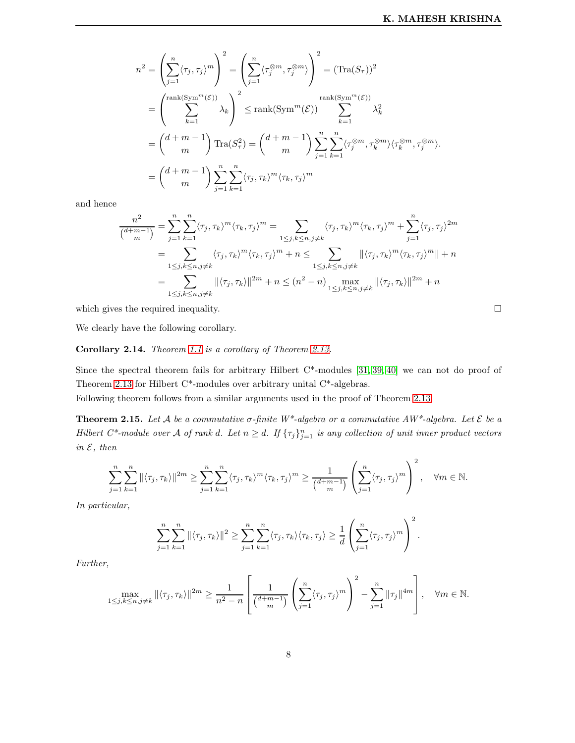$$
n^{2} = \left(\sum_{j=1}^{n} \langle \tau_{j}, \tau_{j} \rangle^{m}\right)^{2} = \left(\sum_{j=1}^{n} \langle \tau_{j}^{\otimes m}, \tau_{j}^{\otimes m} \rangle\right)^{2} = (\text{Tra}(S_{\tau}))^{2}
$$
  
\n
$$
= \left(\sum_{k=1}^{\text{rank}(\text{Sym}^{m}(\mathcal{E}))} \lambda_{k}\right)^{2} \leq \text{rank}(\text{Sym}^{m}(\mathcal{E})) \sum_{k=1}^{\text{rank}(\text{Sym}^{m}(\mathcal{E}))} \lambda_{k}^{2}
$$
  
\n
$$
= \left(\frac{d+m-1}{m}\right) \text{Tra}(S_{\tau}^{2}) = \left(\frac{d+m-1}{m}\right) \sum_{j=1}^{n} \sum_{k=1}^{n} \langle \tau_{j}^{\otimes m}, \tau_{k}^{\otimes m} \rangle \langle \tau_{k}^{\otimes m}, \tau_{j}^{\otimes m} \rangle.
$$
  
\n
$$
= \left(\frac{d+m-1}{m}\right) \sum_{j=1}^{n} \sum_{k=1}^{n} \langle \tau_{j}, \tau_{k} \rangle^{m} \langle \tau_{k}, \tau_{j} \rangle^{m}
$$

and hence

$$
\frac{n^2}{\binom{d+m-1}{m}} = \sum_{j=1}^n \sum_{k=1}^n \langle \tau_j, \tau_k \rangle^m \langle \tau_k, \tau_j \rangle^m = \sum_{1 \le j, k \le n, j \ne k} \langle \tau_j, \tau_k \rangle^m \langle \tau_k, \tau_j \rangle^m + \sum_{j=1}^n \langle \tau_j, \tau_j \rangle^{2m}
$$
  
\n
$$
= \sum_{1 \le j, k \le n, j \ne k} \langle \tau_j, \tau_k \rangle^m \langle \tau_k, \tau_j \rangle^m + n \le \sum_{1 \le j, k \le n, j \ne k} \| \langle \tau_j, \tau_k \rangle^m \langle \tau_k, \tau_j \rangle^m \| + n
$$
  
\n
$$
= \sum_{1 \le j, k \le n, j \ne k} \| \langle \tau_j, \tau_k \rangle \|^2 m + n \le (n^2 - n) \max_{1 \le j, k \le n, j \ne k} \| \langle \tau_j, \tau_k \rangle \|^2 m + n
$$

which gives the required inequality.  $\hfill \square$ 

We clearly have the following corollary.

# Corollary 2.14. Theorem [1.1](#page-0-1) is a corollary of Theorem [2.13.](#page-6-1)

Since the spectral theorem fails for arbitrary Hilbert C\*-modules [\[31,](#page-14-19) [39,](#page-14-20) [40\]](#page-14-21) we can not do proof of Theorem [2.13](#page-6-1) for Hilbert C\*-modules over arbitrary unital C\*-algebras.

Following theorem follows from a similar arguments used in the proof of Theorem [2.13.](#page-6-1)

**Theorem 2.15.** Let A be a commutative  $\sigma$ -finite W<sup>\*</sup>-algebra or a commutative AW<sup>\*</sup>-algebra. Let  $\mathcal E$  be a Hilbert  $C^*$ -module over A of rank d. Let  $n \geq d$ . If  $\{\tau_j\}_{j=1}^n$  is any collection of unit inner product vectors in  $\mathcal{E}$ , then

$$
\sum_{j=1}^n \sum_{k=1}^n \| \langle \tau_j, \tau_k \rangle \|^ {2m} \ge \sum_{j=1}^n \sum_{k=1}^n \langle \tau_j, \tau_k \rangle^m \langle \tau_k, \tau_j \rangle^m \ge \frac{1}{\binom{d+m-1}{m}} \left( \sum_{j=1}^n \langle \tau_j, \tau_j \rangle^m \right)^2, \quad \forall m \in \mathbb{N}.
$$

In particular,

$$
\sum_{j=1}^n\sum_{k=1}^n \|\langle \tau_j, \tau_k\rangle\|^2 \geq \sum_{j=1}^n\sum_{k=1}^n \langle \tau_j, \tau_k\rangle \langle \tau_k, \tau_j\rangle \geq \frac{1}{d} \left(\sum_{j=1}^n \langle \tau_j, \tau_j\rangle^m\right)^2.
$$

Further,

$$
\max_{1 \leq j,k \leq n,j \neq k} \| \langle \tau_j, \tau_k \rangle \|^2 m \geq \frac{1}{n^2 - n} \left[ \frac{1}{\binom{d+m-1}{m}} \left( \sum_{j=1}^n \langle \tau_j, \tau_j \rangle^m \right)^2 - \sum_{j=1}^n \|\tau_j\|^{4m} \right], \quad \forall m \in \mathbb{N}.
$$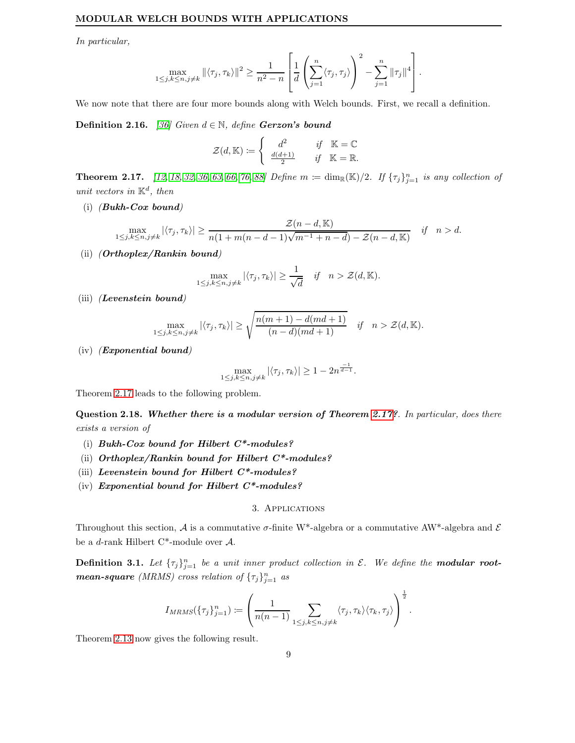In particular,

$$
\max_{1 \leq j,k \leq n, j \neq k} \| \langle \tau_j, \tau_k \rangle \|^2 \geq \frac{1}{n^2 - n} \left[ \frac{1}{d} \left( \sum_{j=1}^n \langle \tau_j, \tau_j \rangle \right)^2 - \sum_{j=1}^n \|\tau_j\|^4 \right].
$$

We now note that there are four more bounds along with Welch bounds. First, we recall a definition.

**Definition 2.16.** [\[36\]](#page-14-4) Given  $d \in \mathbb{N}$ , define **Gerzon's bound** 

$$
\mathcal{Z}(d,\mathbb{K}) := \begin{cases} d^2 & \text{if } \mathbb{K} = \mathbb{C} \\ \frac{d(d+1)}{2} & \text{if } \mathbb{K} = \mathbb{R}. \end{cases}
$$

<span id="page-8-1"></span>**Theorem 2.17.** [\[12,](#page-13-17) [18,](#page-13-1) [32,](#page-14-22) [36,](#page-14-4) [63,](#page-14-23) [66,](#page-15-19) [76,](#page-15-20) [88\]](#page-15-7) Define  $m := \dim_{\mathbb{R}}(\mathbb{K})/2$ . If  $\{\tau_j\}_{j=1}^n$  is any collection of unit vectors in  $\mathbb{K}^d$ , then

(i) (Bukh-Cox bound)

$$
\max_{1 \le j,k \le n,j \ne k} |\langle \tau_j, \tau_k \rangle| \ge \frac{\mathcal{Z}(n-d,\mathbb{K})}{n(1+m(n-d-1)\sqrt{m-1+n-d}) - \mathcal{Z}(n-d,\mathbb{K})} \quad \text{if} \quad n > d.
$$

(ii) (Orthoplex/Rankin bound)

$$
\max_{1 \le j,k \le n,j \ne k} |\langle \tau_j, \tau_k \rangle| \ge \frac{1}{\sqrt{d}} \quad \text{if} \quad n > \mathcal{Z}(d, \mathbb{K}).
$$

(iii) (Levenstein bound)

$$
\max_{1 \le j,k \le n,j \ne k} |\langle \tau_j, \tau_k \rangle| \ge \sqrt{\frac{n(m+1) - d(md+1)}{(n-d)(md+1)}} \quad \text{if} \quad n > \mathcal{Z}(d, \mathbb{K}).
$$

(iv) (Exponential bound)

$$
\max_{1 \le j,k \le n,j \ne k} |\langle \tau_j, \tau_k \rangle| \ge 1 - 2n^{\frac{-1}{d-1}}.
$$

Theorem [2.17](#page-8-1) leads to the following problem.

Question 2.18. Whether there is a modular version of Theorem [2.17?](#page-8-1). In particular, does there exists a version of

- (i) Bukh-Cox bound for Hilbert  $C^*$ -modules?
- (ii) Orthoplex/Rankin bound for Hilbert  $C^*$ -modules?
- (iii) Levenstein bound for Hilbert  $C^*$ -modules?
- <span id="page-8-0"></span>(iv) Exponential bound for Hilbert  $C^*$ -modules?

# 3. Applications

Throughout this section, A is a commutative  $\sigma$ -finite W<sup>\*</sup>-algebra or a commutative AW<sup>\*</sup>-algebra and E be a d-rank Hilbert C\*-module over A.

**Definition 3.1.** Let  $\{\tau_j\}_{j=1}^n$  be a unit inner product collection in  $\mathcal{E}$ . We define the **modular rootmean-square** (MRMS) cross relation of  $\{\tau_j\}_{j=1}^n$  as

$$
I_{MRMS}(\{\tau_j\}_{j=1}^n) := \left(\frac{1}{n(n-1)} \sum_{1 \leq j,k \leq n, j \neq k} \langle \tau_j, \tau_k \rangle \langle \tau_k, \tau_j \rangle \right)^{\frac{1}{2}}.
$$

Theorem [2.13](#page-6-1) now gives the following result.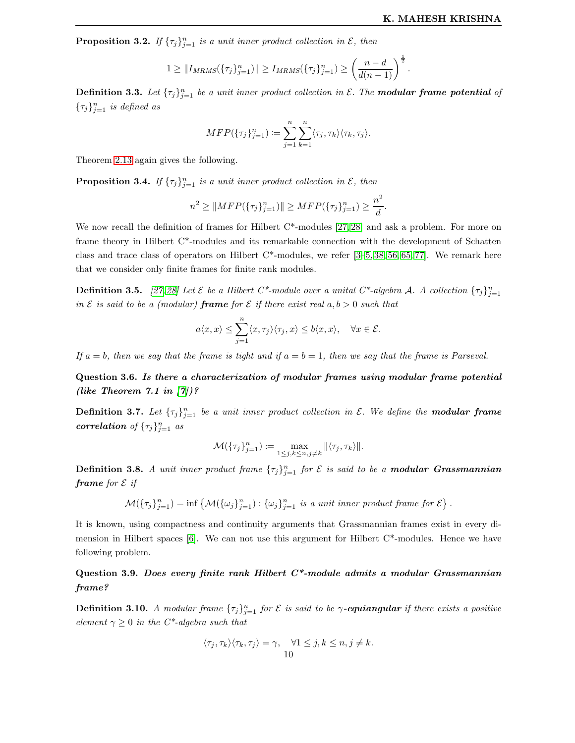**Proposition 3.2.** If  $\{\tau_j\}_{j=1}^n$  is a unit inner product collection in  $\mathcal{E}$ , then

$$
1 \geq ||I_{MRMS}(\{\tau_j\}_{j=1}^n)|| \geq I_{MRMS}(\{\tau_j\}_{j=1}^n) \geq \left(\frac{n-d}{d(n-1)}\right)^{\frac{1}{2}}.
$$

**Definition 3.3.** Let  ${\lbrace \tau_j \rbrace}_{j=1}^n$  be a unit inner product collection in  $\mathcal{E}$ . The **modular frame potential** of  $\{\tau_j\}_{j=1}^n$  is defined as

$$
MFP(\{\tau_j\}_{j=1}^n) := \sum_{j=1}^n \sum_{k=1}^n \langle \tau_j, \tau_k \rangle \langle \tau_k, \tau_j \rangle.
$$

Theorem [2.13](#page-6-1) again gives the following.

**Proposition 3.4.** If  $\{\tau_j\}_{j=1}^n$  is a unit inner product collection in  $\mathcal{E}$ , then

$$
n^{2} \geq ||MFP(\{\tau_{j}\}_{j=1}^{n})|| \geq MFP(\{\tau_{j}\}_{j=1}^{n}) \geq \frac{n^{2}}{d}.
$$

We now recall the definition of frames for Hilbert C<sup>\*</sup>-modules [\[27,](#page-13-18) [28\]](#page-13-19) and ask a problem. For more on frame theory in Hilbert C\*-modules and its remarkable connection with the development of Schatten class and trace class of operators on Hilbert C\*-modules, we refer [\[3](#page-13-20)[–5,](#page-13-21) [38,](#page-14-24) [56,](#page-14-25) [65,](#page-15-21) [77\]](#page-15-22). We remark here that we consider only finite frames for finite rank modules.

**Definition 3.5.** [\[27,](#page-13-18) [28\]](#page-13-19) Let  $\mathcal E$  be a Hilbert  $C^*$ -module over a unital  $C^*$ -algebra  $\mathcal A$ . A collection  $\{\tau_j\}_{j=1}^n$ in  $\mathcal E$  is said to be a (modular) **frame** for  $\mathcal E$  if there exist real  $a, b > 0$  such that

$$
a\langle x,x\rangle \leq \sum_{j=1}^n \langle x,\tau_j\rangle \langle \tau_j,x\rangle \leq b\langle x,x\rangle, \quad \forall x \in \mathcal{E}.
$$

If  $a = b$ , then we say that the frame is tight and if  $a = b = 1$ , then we say that the frame is Parseval.

Question 3.6. Is there a characterization of modular frames using modular frame potential (like Theorem  $7.1$  in  $[7]$ )?

**Definition 3.7.** Let  $\{\tau_j\}_{j=1}^n$  be a unit inner product collection in  $\mathcal{E}$ . We define the **modular frame** correlation of  $\{\tau_j\}_{j=1}^n$  as

$$
\mathcal{M}(\{\tau_j\}_{j=1}^n) \coloneqq \max_{1 \leq j,k \leq n, j \neq k} \| \langle \tau_j, \tau_k \rangle \|.
$$

**Definition 3.8.** A unit inner product frame  $\{\tau_j\}_{j=1}^n$  for  $\mathcal E$  is said to be a **modular Grassmannian frame** for  $\mathcal{E}$  if

 $\mathcal{M}(\{\tau_j\}_{j=1}^n) = \inf \left\{ \mathcal{M}(\{\omega_j\}_{j=1}^n) : \{\omega_j\}_{j=1}^n \text{ is a unit inner product frame for } \mathcal{E} \right\}.$ 

It is known, using compactness and continuity arguments that Grassmannian frames exist in every dimension in Hilbert spaces  $[6]$ . We can not use this argument for Hilbert  $C^*$ -modules. Hence we have following problem.

Question 3.9. Does every finite rank Hilbert  $C^*$ -module admits a modular Grassmannian frame?

**Definition 3.10.** A modular frame  ${\{\tau_j\}}_{j=1}^n$  for  $\mathcal E$  is said to be  $\gamma$ -**equiangular** if there exists a positive element  $\gamma \geq 0$  in the C<sup>\*</sup>-algebra such that

$$
\langle \tau_j, \tau_k \rangle \langle \tau_k, \tau_j \rangle = \gamma, \quad \forall 1 \le j, k \le n, j \ne k.
$$
  
10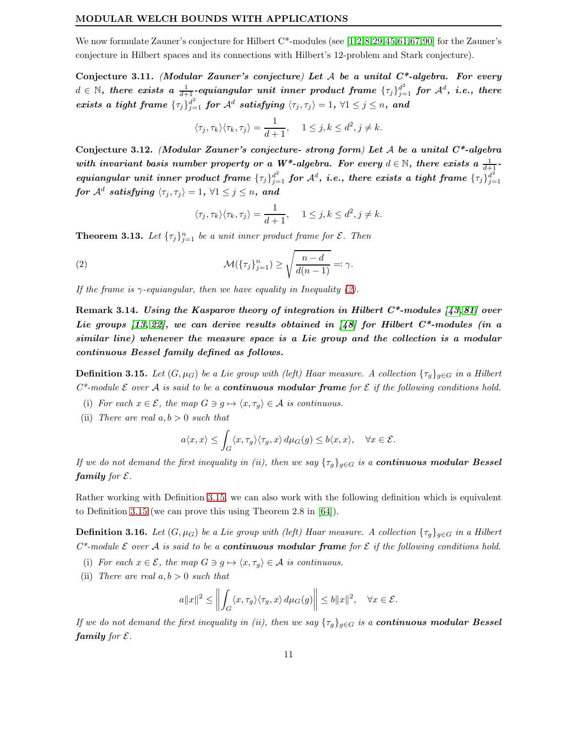We now formulate Zauner's conjecture for Hilbert  $C^*$ -modules (see [\[1,](#page-12-1)[2,](#page-13-23)[8,](#page-13-24)[29,](#page-13-25)[45,](#page-14-26)[61,](#page-14-27)[67,](#page-15-23)[90\]](#page-15-24) for the Zauner's conjecture in Hilbert spaces and its connections with Hilbert's 12-problem and Stark conjecture).

Conjecture 3.11. (Modular Zauner's conjecture) Let  $A$  be a unital  $C^*$ -algebra. For every  $d\in\mathbb{N},$  there exists a  $\frac{1}{d+1}$ -equiangular unit inner product frame  $\{\tau_j\}_{j=1}^{d^2}$  for  $\mathcal{A}^d$ , i.e., there  $exists \; a \; tight \; frame \; \{\tau_j\}_{j=1}^{d^2} \; for \; \mathcal{A}^d \; satisfying \; \langle \tau_j, \tau_j\rangle = 1, \; \forall 1 \leq j \leq n, \; and$ 

$$
\langle \tau_j, \tau_k \rangle \langle \tau_k, \tau_j \rangle = \frac{1}{d+1}, \quad 1 \le j, k \le d^2, j \ne k.
$$

Conjecture 3.12. (Modular Zauner's conjecture- strong form) Let A be a unital  $C^*$ -algebra with invariant basis number property or a W<sup>\*</sup>-algebra. For every  $d \in \mathbb{N}$ , there exists a  $\frac{1}{d+1}$  $equiangular\ unit\ inner\ product\ frame\ \{\tau_j\}_{j=1}^{d^2} \ for\ \mathcal{A}^d,\ i.e.,\ there\ exists\ a\ tight\ frame\ \{\tau_j\}_{j=1}^{d^2}$  $j=1$  $\textit{for $\mathcal{A}^d$ satisfying $\langle \tau_j, \tau_j \rangle = 1$, $\forall 1 \leq j \leq n$, and}$ 

$$
\langle \tau_j, \tau_k \rangle \langle \tau_k, \tau_j \rangle = \frac{1}{d+1}, \quad 1 \le j, k \le d^2, j \ne k.
$$

**Theorem 3.13.** Let  $\{\tau_j\}_{j=1}^n$  be a unit inner product frame for  $\mathcal{E}$ . Then

<span id="page-10-0"></span>(2) 
$$
\mathcal{M}(\{\tau_j\}_{j=1}^n) \ge \sqrt{\frac{n-d}{d(n-1)}} =: \gamma.
$$

If the frame is  $\gamma$ -equiangular, then we have equality in Inequality [\(2\)](#page-10-0).

Remark 3.14. Using the Kasparov theory of integration in Hilbert  $C^*$ -modules [\[43,](#page-14-28)81] over Lie groups  $(13, 22)$ , we can derive results obtained in  $(48)$  for Hilbert C<sup>\*</sup>-modules (in a similar line) whenever the measure space is a Lie group and the collection is a modular continuous Bessel family defined as follows.

<span id="page-10-1"></span>**Definition 3.15.** Let  $(G, \mu_G)$  be a Lie group with (left) Haar measure. A collection  $\{\tau_q\}_{q\in G}$  in a Hilbert  $C^*$ -module  $\mathcal E$  over  $\mathcal A$  is said to be a **continuous modular frame** for  $\mathcal E$  if the following conditions hold.

- (i) For each  $x \in \mathcal{E}$ , the map  $G \ni g \mapsto \langle x, \tau_g \rangle \in \mathcal{A}$  is continuous.
- (ii) There are real  $a, b > 0$  such that

$$
a\langle x,x\rangle \leq \int_G \langle x,\tau_g\rangle \langle \tau_g,x\rangle d\mu_G(g) \leq b\langle x,x\rangle, \quad \forall x \in \mathcal{E}.
$$

If we do not demand the first inequality in (ii), then we say  $\{\tau_q\}_{q\in G}$  is a **continuous modular Bessel** family for  $\mathcal{E}$ .

Rather working with Definition [3.15,](#page-10-1) we can also work with the following definition which is equivalent to Definition [3.15](#page-10-1) (we can prove this using Theorem 2.8 in [\[64\]](#page-15-14)).

**Definition 3.16.** Let  $(G, \mu_G)$  be a Lie group with (left) Haar measure. A collection  $\{\tau_q\}_{q\in G}$  in a Hilbert  $C^*$ -module  $\mathcal E$  over  $\mathcal A$  is said to be a **continuous modular frame** for  $\mathcal E$  if the following conditions hold.

- (i) For each  $x \in \mathcal{E}$ , the map  $G \ni g \mapsto \langle x, \tau_q \rangle \in \mathcal{A}$  is continuous.
- (ii) There are real  $a, b > 0$  such that

$$
a||x||^2 \le \left\| \int_G \langle x, \tau_g \rangle \langle \tau_g, x \rangle d\mu_G(g) \right\| \le b||x||^2, \quad \forall x \in \mathcal{E}.
$$

If we do not demand the first inequality in (ii), then we say  $\{\tau_g\}_{g\in G}$  is a **continuous modular Bessel** family for  $\mathcal{E}$ .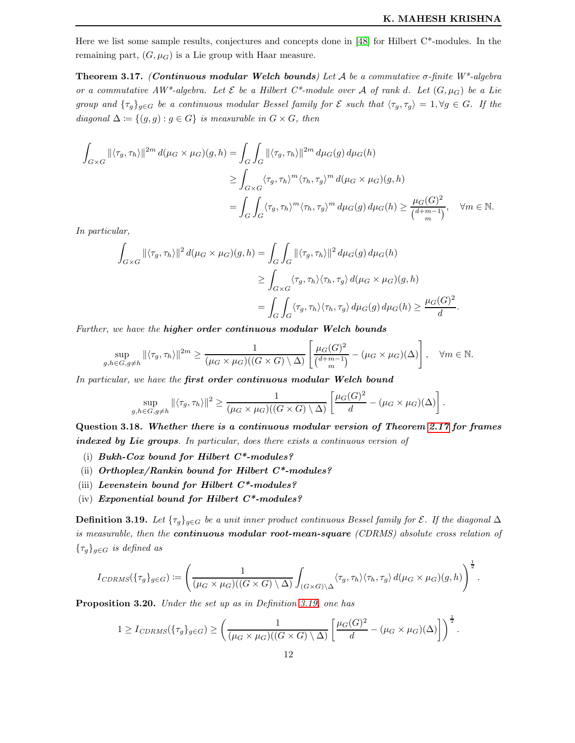Here we list some sample results, conjectures and concepts done in [\[48\]](#page-14-6) for Hilbert C\*-modules. In the remaining part,  $(G, \mu_G)$  is a Lie group with Haar measure.

**Theorem 3.17.** (Continuous modular Welch bounds) Let A be a commutative  $\sigma$ -finite W\*-algebra or a commutative  $AW^*$ -algebra. Let  $\mathcal E$  be a Hilbert  $C^*$ -module over A of rank d. Let  $(G, \mu_G)$  be a Lie group and  $\{\tau_g\}_{g\in G}$  be a continuous modular Bessel family for  $\mathcal E$  such that  $\langle \tau_g, \tau_g \rangle = 1, \forall g \in G$ . If the diagonal  $\Delta := \{(g, g) : g \in G\}$  is measurable in  $G \times G$ , then

$$
\int_{G\times G} ||\langle \tau_g, \tau_h \rangle||^{2m} d(\mu_G \times \mu_G)(g, h) = \int_G \int_G ||\langle \tau_g, \tau_h \rangle||^{2m} d\mu_G(g) d\mu_G(h)
$$
\n
$$
\geq \int_{G\times G} \langle \tau_g, \tau_h \rangle^m \langle \tau_h, \tau_g \rangle^m d(\mu_G \times \mu_G)(g, h)
$$
\n
$$
= \int_G \int_G \langle \tau_g, \tau_h \rangle^m \langle \tau_h, \tau_g \rangle^m d\mu_G(g) d\mu_G(h) \geq \frac{\mu_G(G)^2}{\binom{d+m-1}{m}}, \quad \forall m \in \mathbb{N}.
$$

In particular,

$$
\int_{G\times G} ||\langle \tau_g, \tau_h \rangle||^2 d(\mu_G \times \mu_G)(g, h) = \int_G \int_G ||\langle \tau_g, \tau_h \rangle||^2 d\mu_G(g) d\mu_G(h)
$$
  
\n
$$
\geq \int_{G\times G} \langle \tau_g, \tau_h \rangle \langle \tau_h, \tau_g \rangle d(\mu_G \times \mu_G)(g, h)
$$
  
\n
$$
= \int_G \int_G \langle \tau_g, \tau_h \rangle \langle \tau_h, \tau_g \rangle d\mu_G(g) d\mu_G(h) \geq \frac{\mu_G(G)^2}{d}.
$$

Further, we have the higher order continuous modular Welch bounds

$$
\sup_{g,h\in G, g\neq h} \| \langle \tau_g, \tau_h \rangle \|^2 m \ge \frac{1}{(\mu_G \times \mu_G)((G \times G) \setminus \Delta)} \left[ \frac{\mu_G(G)^2}{\binom{d+m-1}{m}} - (\mu_G \times \mu_G)(\Delta) \right], \quad \forall m \in \mathbb{N}.
$$

In particular, we have the first order continuous modular Welch bound

$$
\sup_{g,h\in G, g\neq h} \| \langle \tau_g, \tau_h \rangle \|^2 \geq \frac{1}{(\mu_G \times \mu_G)((G \times G) \setminus \Delta)} \left[ \frac{\mu_G(G)^2}{d} - (\mu_G \times \mu_G)(\Delta) \right].
$$

Question 3.18. Whether there is a continuous modular version of Theorem [2.17](#page-8-1) for frames indexed by Lie groups. In particular, does there exists a continuous version of

- (i) Bukh-Cox bound for Hilbert  $C^*$ -modules?
- (ii) Orthoplex/Rankin bound for Hilbert  $C^*$ -modules?
- (iii) Levenstein bound for Hilbert  $C^*$ -modules?
- (iv) Exponential bound for Hilbert  $C^*$ -modules?

<span id="page-11-0"></span>**Definition 3.19.** Let  $\{\tau_g\}_{g\in G}$  be a unit inner product continuous Bessel family for  $\mathcal{E}$ . If the diagonal  $\Delta$ is measurable, then the **continuous modular root-mean-square** (CDRMS) absolute cross relation of  $\{\tau_q\}_{q\in G}$  is defined as

$$
I_{CDRMS}(\{\tau_g\}_{g\in G}) \coloneqq \left(\frac{1}{(\mu_G \times \mu_G)((G \times G) \setminus \Delta)} \int_{(G \times G) \setminus \Delta} \langle \tau_g, \tau_h \rangle \langle \tau_h, \tau_g \rangle d(\mu_G \times \mu_G)(g, h)\right)^{\frac{1}{2}}.
$$

Proposition 3.20. Under the set up as in Definition [3.19,](#page-11-0) one has

$$
1 \geq I_{CDRMS}(\{\tau_g\}_{g \in G}) \geq \left(\frac{1}{(\mu_G \times \mu_G)((G \times G) \setminus \Delta)} \left[\frac{\mu_G(G)^2}{d} - (\mu_G \times \mu_G)(\Delta)\right]\right)^{\frac{1}{2}}.
$$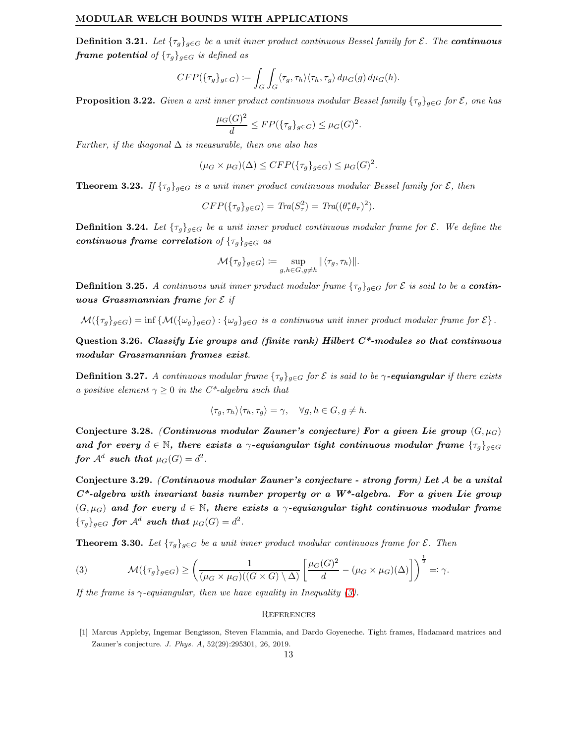**Definition 3.21.** Let  $\{\tau_g\}_{g\in G}$  be a unit inner product continuous Bessel family for  $\mathcal{E}$ . The **continuous frame potential** of  $\{\tau_g\}_{g \in G}$  is defined as

$$
CFP(\{\tau_g\}_{g\in G}) \coloneqq \int_G \int_G \langle \tau_g, \tau_h \rangle \langle \tau_h, \tau_g \rangle \, d\mu_G(g) \, d\mu_G(h).
$$

**Proposition 3.22.** Given a unit inner product continuous modular Bessel family  $\{\tau_q\}_{q\in G}$  for  $\mathcal{E}$ , one has

$$
\frac{\mu_G(G)^2}{d} \le FP(\{\tau_g\}_{g \in G}) \le \mu_G(G)^2.
$$

Further, if the diagonal  $\Delta$  is measurable, then one also has

$$
(\mu_G \times \mu_G)(\Delta) \le CFP(\{\tau_g\}_{g \in G}) \le \mu_G(G)^2.
$$

**Theorem 3.23.** If  $\{\tau_g\}_{g\in G}$  is a unit inner product continuous modular Bessel family for  $\mathcal{E}$ , then

$$
CFP(\lbrace \tau_g \rbrace_{g \in G}) = \text{Tra}(S^2_{\tau}) = \text{Tra}((\theta^*_{\tau} \theta_{\tau})^2).
$$

**Definition 3.24.** Let  $\{\tau_q\}_{q\in G}$  be a unit inner product continuous modular frame for  $\mathcal{E}$ . We define the continuous frame correlation of  ${\{\tau_g\}}_{g\in G}$  as

$$
\mathcal{M}\{\tau_g\}_{g\in G})\coloneqq \sup_{g,h\in G, g\neq h}\|\langle \tau_g, \tau_h\rangle\|.
$$

**Definition 3.25.** A continuous unit inner product modular frame  $\{\tau_q\}_{q\in G}$  for  $\mathcal E$  is said to be a **contin**uous Grassmannian frame for  $\mathcal E$  if

 $\mathcal{M}(\{\tau_g\}_{g\in G}) = \inf \{\mathcal{M}(\{\omega_g\}_{g\in G}): \{\omega_g\}_{g\in G}$  is a continuous unit inner product modular frame for  $\mathcal{E}\}$ .

Question 3.26. Classify Lie groups and (finite rank) Hilbert  $C^*$ -modules so that continuous modular Grassmannian frames exist.

**Definition 3.27.** A continuous modular frame  $\{\tau_g\}_{g \in G}$  for  $\mathcal E$  is said to be  $\gamma$ -equiangular if there exists a positive element  $\gamma \geq 0$  in the C<sup>\*</sup>-algebra such that

$$
\langle \tau_g, \tau_h \rangle \langle \tau_h, \tau_g \rangle = \gamma, \quad \forall g, h \in G, g \neq h.
$$

Conjecture 3.28. (Continuous modular Zauner's conjecture) For a given Lie group  $(G, \mu_G)$ and for every  $d \in \mathbb{N}$ , there exists a  $\gamma$ -equiangular tight continuous modular frame  $\{\tau_a\}_{a \in G}$ for  $\mathcal{A}^d$  such that  $\mu_G(G) = d^2$ .

Conjecture 3.29. (Continuous modular Zauner's conjecture - strong form) Let A be a unital  $C^*$ -algebra with invariant basis number property or a  $W^*$ -algebra. For a given Lie group  $(G, \mu_G)$  and for every  $d \in \mathbb{N}$ , there exists a  $\gamma$ -equiangular tight continuous modular frame  ${\{\tau_g\}_{g\in G}}$  for  $\mathcal{A}^d$  such that  $\mu_G(G)=d^2$ .

**Theorem 3.30.** Let  $\{\tau_q\}_{q \in G}$  be a unit inner product modular continuous frame for  $\mathcal{E}$ . Then

<span id="page-12-2"></span>(3) 
$$
\mathcal{M}(\{\tau_g\}_{g \in G}) \ge \left(\frac{1}{(\mu_G \times \mu_G)((G \times G) \setminus \Delta)} \left[\frac{\mu_G(G)^2}{d} - (\mu_G \times \mu_G)(\Delta)\right]\right)^{\frac{1}{2}} =: \gamma.
$$

If the frame is  $\gamma$ -equiangular, then we have equality in Inequality [\(3\)](#page-12-2).

# <span id="page-12-0"></span>**REFERENCES**

<span id="page-12-1"></span><sup>[1]</sup> Marcus Appleby, Ingemar Bengtsson, Steven Flammia, and Dardo Goyeneche. Tight frames, Hadamard matrices and Zauner's conjecture. *J. Phys. A*, 52(29):295301, 26, 2019.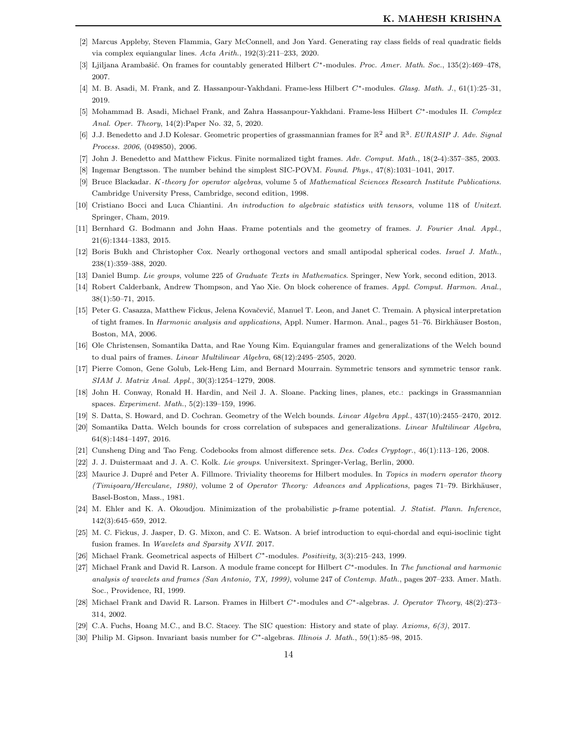- <span id="page-13-23"></span><span id="page-13-20"></span>[2] Marcus Appleby, Steven Flammia, Gary McConnell, and Jon Yard. Generating ray class fields of real quadratic fields via complex equiangular lines. *Acta Arith.*, 192(3):211–233, 2020.
- [3] Ljiljana Arambašić. On frames for countably generated Hilbert C<sup>∗</sup>-modules. Proc. Amer. Math. Soc., 135(2):469-478, 2007.
- <span id="page-13-21"></span>[4] M. B. Asadi, M. Frank, and Z. Hassanpour-Yakhdani. Frame-less Hilbert C∗-modules. *Glasg. Math. J.*, 61(1):25–31, 2019.
- <span id="page-13-22"></span>[5] Mohammad B. Asadi, Michael Frank, and Zahra Hassanpour-Yakhdani. Frame-less Hilbert C<sup>∗</sup> -modules II. *Complex Anal. Oper. Theory*, 14(2):Paper No. 32, 5, 2020.
- <span id="page-13-4"></span>[6] J.J. Benedetto and J.D Kolesar. Geometric properties of grassmannian frames for R<sup>2</sup> and R<sup>3</sup> . *EURASIP J. Adv. Signal Process. 2006*, (049850), 2006.
- <span id="page-13-24"></span>[7] John J. Benedetto and Matthew Fickus. Finite normalized tight frames. *Adv. Comput. Math.*, 18(2-4):357–385, 2003.
- <span id="page-13-11"></span>[8] Ingemar Bengtsson. The number behind the simplest SIC-POVM. *Found. Phys.*, 47(8):1031–1041, 2017.
- <span id="page-13-15"></span>[9] Bruce Blackadar. K*-theory for operator algebras*, volume 5 of *Mathematical Sciences Research Institute Publications*. Cambridge University Press, Cambridge, second edition, 1998.
- <span id="page-13-5"></span>[10] Cristiano Bocci and Luca Chiantini. *An introduction to algebraic statistics with tensors*, volume 118 of *Unitext*. Springer, Cham, 2019.
- <span id="page-13-17"></span>[11] Bernhard G. Bodmann and John Haas. Frame potentials and the geometry of frames. *J. Fourier Anal. Appl.*, 21(6):1344–1383, 2015.
- <span id="page-13-26"></span>[12] Boris Bukh and Christopher Cox. Nearly orthogonal vectors and small antipodal spherical codes. *Israel J. Math.*, 238(1):359–388, 2020.
- <span id="page-13-2"></span>[13] Daniel Bump. *Lie groups*, volume 225 of *Graduate Texts in Mathematics*. Springer, New York, second edition, 2013.
- <span id="page-13-6"></span>[14] Robert Calderbank, Andrew Thompson, and Yao Xie. On block coherence of frames. *Appl. Comput. Harmon. Anal.*, 38(1):50–71, 2015.
- [15] Peter G. Casazza, Matthew Fickus, Jelena Kovačević, Manuel T. Leon, and Janet C. Tremain. A physical interpretation of tight frames. In *Harmonic analysis and applications*, Appl. Numer. Harmon. Anal., pages 51–76. Birkhäuser Boston, Boston, MA, 2006.
- <span id="page-13-16"></span><span id="page-13-8"></span>[16] Ole Christensen, Somantika Datta, and Rae Young Kim. Equiangular frames and generalizations of the Welch bound to dual pairs of frames. *Linear Multilinear Algebra*, 68(12):2495–2505, 2020.
- <span id="page-13-1"></span>[17] Pierre Comon, Gene Golub, Lek-Heng Lim, and Bernard Mourrain. Symmetric tensors and symmetric tensor rank. *SIAM J. Matrix Anal. Appl.*, 30(3):1254–1279, 2008.
- <span id="page-13-0"></span>[18] John H. Conway, Ronald H. Hardin, and Neil J. A. Sloane. Packing lines, planes, etc.: packings in Grassmannian spaces. *Experiment. Math.*, 5(2):139–159, 1996.
- <span id="page-13-9"></span>[19] S. Datta, S. Howard, and D. Cochran. Geometry of the Welch bounds. *Linear Algebra Appl.*, 437(10):2455–2470, 2012.
- <span id="page-13-7"></span>[20] Somantika Datta. Welch bounds for cross correlation of subspaces and generalizations. *Linear Multilinear Algebra*, 64(8):1484–1497, 2016.
- <span id="page-13-27"></span>[21] Cunsheng Ding and Tao Feng. Codebooks from almost difference sets. *Des. Codes Cryptogr.*, 46(1):113–126, 2008.
- <span id="page-13-12"></span>[22] J. J. Duistermaat and J. A. C. Kolk. *Lie groups*. Universitext. Springer-Verlag, Berlin, 2000.
- [23] Maurice J. Dupré and Peter A. Fillmore. Triviality theorems for Hilbert modules. In *Topics in modern operator theory (Timişoara/Herculane, 1980)*, volume 2 of *Operator Theory: Advances and Applications*, pages 71–79. Birkhäuser, Basel-Boston, Mass., 1981.
- <span id="page-13-10"></span><span id="page-13-3"></span>[24] M. Ehler and K. A. Okoudjou. Minimization of the probabilistic p-frame potential. *J. Statist. Plann. Inference*, 142(3):645–659, 2012.
- <span id="page-13-13"></span>[25] M. C. Fickus, J. Jasper, D. G. Mixon, and C. E. Watson. A brief introduction to equi-chordal and equi-isoclinic tight fusion frames. In *Wavelets and Sparsity XVII*. 2017.
- <span id="page-13-18"></span>[26] Michael Frank. Geometrical aspects of Hilbert C∗-modules. *Positivity*, 3(3):215–243, 1999.
- [27] Michael Frank and David R. Larson. A module frame concept for Hilbert C∗-modules. In *The functional and harmonic analysis of wavelets and frames (San Antonio, TX, 1999)*, volume 247 of *Contemp. Math.*, pages 207–233. Amer. Math. Soc., Providence, RI, 1999.
- <span id="page-13-19"></span>[28] Michael Frank and David R. Larson. Frames in Hilbert C<sup>∗</sup>-modules and C<sup>∗</sup>-algebras. *J. Operator Theory*, 48(2):273– 314, 2002.
- <span id="page-13-25"></span><span id="page-13-14"></span>[29] C.A. Fuchs, Hoang M.C., and B.C. Stacey. The SIC question: History and state of play. *Axioms, 6(3)*, 2017.
- [30] Philip M. Gipson. Invariant basis number for C<sup>∗</sup> -algebras. *Illinois J. Math.*, 59(1):85–98, 2015.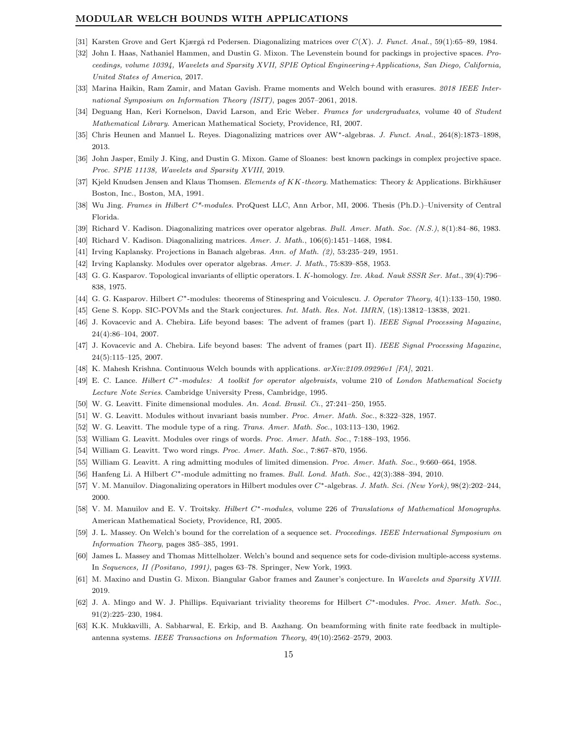- <span id="page-14-22"></span><span id="page-14-19"></span>[31] Karsten Grove and Gert Kjærgå rd Pedersen. Diagonalizing matrices over  $C(X)$ . *J. Funct. Anal.*, 59(1):65–89, 1984.
- [32] John I. Haas, Nathaniel Hammen, and Dustin G. Mixon. The Levenstein bound for packings in projective spaces. *Proceedings, volume 10394, Wavelets and Sparsity XVII, SPIE Optical Engineering+Applications, San Diego, California, United States of America*, 2017.
- <span id="page-14-13"></span><span id="page-14-5"></span>[33] Marina Haikin, Ram Zamir, and Matan Gavish. Frame moments and Welch bound with erasures. *2018 IEEE International Symposium on Information Theory (ISIT)*, pages 2057–2061, 2018.
- <span id="page-14-18"></span>[34] Deguang Han, Keri Kornelson, David Larson, and Eric Weber. *Frames for undergraduates*, volume 40 of *Student Mathematical Library*. American Mathematical Society, Providence, RI, 2007.
- <span id="page-14-4"></span>[35] Chris Heunen and Manuel L. Reyes. Diagonalizing matrices over AW<sup>∗</sup>-algebras. *J. Funct. Anal.*, 264(8):1873-1898, 2013.
- <span id="page-14-8"></span>[36] John Jasper, Emily J. King, and Dustin G. Mixon. Game of Sloanes: best known packings in complex projective space. *Proc. SPIE 11138, Wavelets and Sparsity XVIII*, 2019.
- <span id="page-14-24"></span>[37] Kjeld Knudsen Jensen and Klaus Thomsen. *Elements of KK-theory*. Mathematics: Theory & Applications. Birkhäuser Boston, Inc., Boston, MA, 1991.
- <span id="page-14-20"></span>[38] Wu Jing. *Frames in Hilbert C\*-modules*. ProQuest LLC, Ann Arbor, MI, 2006. Thesis (Ph.D.)–University of Central Florida.
- <span id="page-14-21"></span>[39] Richard V. Kadison. Diagonalizing matrices over operator algebras. *Bull. Amer. Math. Soc. (N.S.)*, 8(1):84–86, 1983.
- <span id="page-14-17"></span>[40] Richard V. Kadison. Diagonalizing matrices. *Amer. J. Math.*, 106(6):1451–1468, 1984.
- <span id="page-14-7"></span>[41] Irving Kaplansky. Projections in Banach algebras. *Ann. of Math. (2)*, 53:235–249, 1951.
- <span id="page-14-28"></span>[42] Irving Kaplansky. Modules over operator algebras. *Amer. J. Math.*, 75:839–858, 1953.
- <span id="page-14-9"></span>[43] G. G. Kasparov. Topological invariants of elliptic operators. I. K-homology. *Izv. Akad. Nauk SSSR Ser. Mat.*, 39(4):796– 838, 1975.
- <span id="page-14-26"></span>[44] G. G. Kasparov. Hilbert C∗-modules: theorems of Stinespring and Voiculescu. *J. Operator Theory*, 4(1):133–150, 1980.
- <span id="page-14-2"></span>[45] Gene S. Kopp. SIC-POVMs and the Stark conjectures. *Int. Math. Res. Not. IMRN*, (18):13812–13838, 2021.
- <span id="page-14-3"></span>[46] J. Kovacevic and A. Chebira. Life beyond bases: The advent of frames (part I). *IEEE Signal Processing Magazine*, 24(4):86–104, 2007.
- <span id="page-14-6"></span>[47] J. Kovacevic and A. Chebira. Life beyond bases: The advent of frames (part II). *IEEE Signal Processing Magazine*, 24(5):115–125, 2007.
- <span id="page-14-10"></span>[48] K. Mahesh Krishna. Continuous Welch bounds with applications. *arXiv:2109.09296v1 [FA]*, 2021.
- <span id="page-14-14"></span>[49] E. C. Lance. *Hilbert* C<sup>∗</sup> *-modules: A toolkit for operator algebraists*, volume 210 of *London Mathematical Society Lecture Note Series*. Cambridge University Press, Cambridge, 1995.
- [50] W. G. Leavitt. Finite dimensional modules. *An. Acad. Brasil. Ci.*, 27:241–250, 1955.
- [51] W. G. Leavitt. Modules without invariant basis number. *Proc. Amer. Math. Soc.*, 8:322–328, 1957.
- [52] W. G. Leavitt. The module type of a ring. *Trans. Amer. Math. Soc.*, 103:113–130, 1962.
- [53] William G. Leavitt. Modules over rings of words. *Proc. Amer. Math. Soc.*, 7:188–193, 1956.
- <span id="page-14-15"></span>[54] William G. Leavitt. Two word rings. *Proc. Amer. Math. Soc.*, 7:867–870, 1956.
- <span id="page-14-25"></span>[55] William G. Leavitt. A ring admitting modules of limited dimension. *Proc. Amer. Math. Soc.*, 9:660–664, 1958.
- <span id="page-14-16"></span>[56] Hanfeng Li. A Hilbert C∗-module admitting no frames. *Bull. Lond. Math. Soc.*, 42(3):388–394, 2010.
- <span id="page-14-11"></span>[57] V. M. Manuilov. Diagonalizing operators in Hilbert modules over C<sup>∗</sup> -algebras. *J. Math. Sci. (New York)*, 98(2):202–244, 2000.
- <span id="page-14-0"></span>[58] V. M. Manuilov and E. V. Troitsky. *Hilbert* C∗*-modules*, volume 226 of *Translations of Mathematical Monographs*. American Mathematical Society, Providence, RI, 2005.
- <span id="page-14-1"></span>[59] J. L. Massey. On Welch's bound for the correlation of a sequence set. *Proceedings. IEEE International Symposium on Information Theory*, pages 385–385, 1991.
- <span id="page-14-27"></span>[60] James L. Massey and Thomas Mittelholzer. Welch's bound and sequence sets for code-division multiple-access systems. In *Sequences, II (Positano, 1991)*, pages 63–78. Springer, New York, 1993.
- <span id="page-14-12"></span>[61] M. Maxino and Dustin G. Mixon. Biangular Gabor frames and Zauner's conjecture. In *Wavelets and Sparsity XVIII*. 2019.
- [62] J. A. Mingo and W. J. Phillips. Equivariant triviality theorems for Hilbert C<sup>∗</sup> -modules. *Proc. Amer. Math. Soc.*, 91(2):225–230, 1984.
- <span id="page-14-23"></span>[63] K.K. Mukkavilli, A. Sabharwal, E. Erkip, and B. Aazhang. On beamforming with finite rate feedback in multipleantenna systems. *IEEE Transactions on Information Theory*, 49(10):2562–2579, 2003.